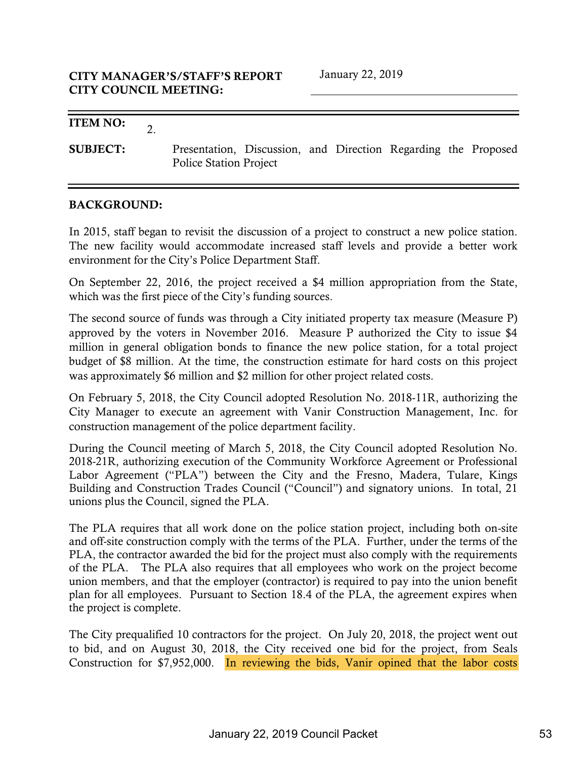2.

### ITEM NO:

SUBJECT: Presentation, Discussion, and Direction Regarding the Proposed Police Station Project

### BACKGROUND:

In 2015, staff began to revisit the discussion of a project to construct a new police station. The new facility would accommodate increased staff levels and provide a better work environment for the City's Police Department Staff.

On September 22, 2016, the project received a \$4 million appropriation from the State, which was the first piece of the City's funding sources.

The second source of funds was through a City initiated property tax measure (Measure P) approved by the voters in November 2016. Measure P authorized the City to issue \$4 million in general obligation bonds to finance the new police station, for a total project budget of \$8 million. At the time, the construction estimate for hard costs on this project was approximately \$6 million and \$2 million for other project related costs.

On February 5, 2018, the City Council adopted Resolution No. 2018-11R, authorizing the City Manager to execute an agreement with Vanir Construction Management, Inc. for construction management of the police department facility.

During the Council meeting of March 5, 2018, the City Council adopted Resolution No. 2018-21R, authorizing execution of the Community Workforce Agreement or Professional Labor Agreement ("PLA") between the City and the Fresno, Madera, Tulare, Kings Building and Construction Trades Council ("Council") and signatory unions. In total, 21 unions plus the Council, signed the PLA.

The PLA requires that all work done on the police station project, including both on-site and off-site construction comply with the terms of the PLA. Further, under the terms of the PLA, the contractor awarded the bid for the project must also comply with the requirements of the PLA. The PLA also requires that all employees who work on the project become union members, and that the employer (contractor) is required to pay into the union benefit plan for all employees. Pursuant to Section 18.4 of the PLA, the agreement expires when the project is complete.

The City prequalified 10 contractors for the project. On July 20, 2018, the project went out to bid, and on August 30, 2018, the City received one bid for the project, from Seals Construction for \$7,952,000. In reviewing the bids, Vanir opined that the labor costs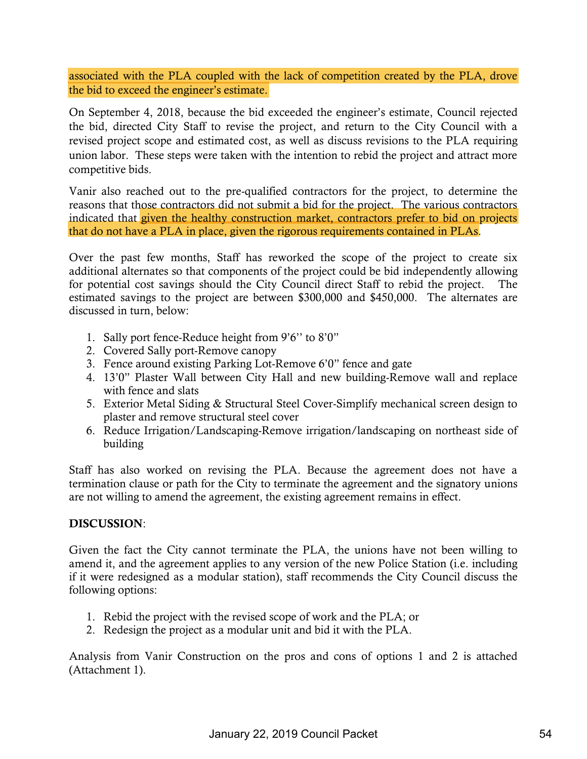associated with the PLA coupled with the lack of competition created by the PLA, drove the bid to exceed the engineer's estimate.

On September 4, 2018, because the bid exceeded the engineer's estimate, Council rejected the bid, directed City Staff to revise the project, and return to the City Council with a revised project scope and estimated cost, as well as discuss revisions to the PLA requiring union labor. These steps were taken with the intention to rebid the project and attract more competitive bids.

Vanir also reached out to the pre-qualified contractors for the project, to determine the reasons that those contractors did not submit a bid for the project. The various contractors indicated that given the healthy construction market, contractors prefer to bid on projects that do not have a PLA in place, given the rigorous requirements contained in PLAs.

Over the past few months, Staff has reworked the scope of the project to create six additional alternates so that components of the project could be bid independently allowing for potential cost savings should the City Council direct Staff to rebid the project. The estimated savings to the project are between \$300,000 and \$450,000. The alternates are discussed in turn, below:

- 1. Sally port fence-Reduce height from 9'6'' to 8'0"
- 2. Covered Sally port-Remove canopy
- 3. Fence around existing Parking Lot-Remove 6'0" fence and gate
- 4. 13'0" Plaster Wall between City Hall and new building-Remove wall and replace with fence and slats
- 5. Exterior Metal Siding & Structural Steel Cover-Simplify mechanical screen design to plaster and remove structural steel cover
- 6. Reduce Irrigation/Landscaping-Remove irrigation/landscaping on northeast side of building

Staff has also worked on revising the PLA. Because the agreement does not have a termination clause or path for the City to terminate the agreement and the signatory unions are not willing to amend the agreement, the existing agreement remains in effect.

### DISCUSSION:

Given the fact the City cannot terminate the PLA, the unions have not been willing to amend it, and the agreement applies to any version of the new Police Station (i.e. including if it were redesigned as a modular station), staff recommends the City Council discuss the following options:

- 1. Rebid the project with the revised scope of work and the PLA; or
- 2. Redesign the project as a modular unit and bid it with the PLA.

Analysis from Vanir Construction on the pros and cons of options 1 and 2 is attached (Attachment 1).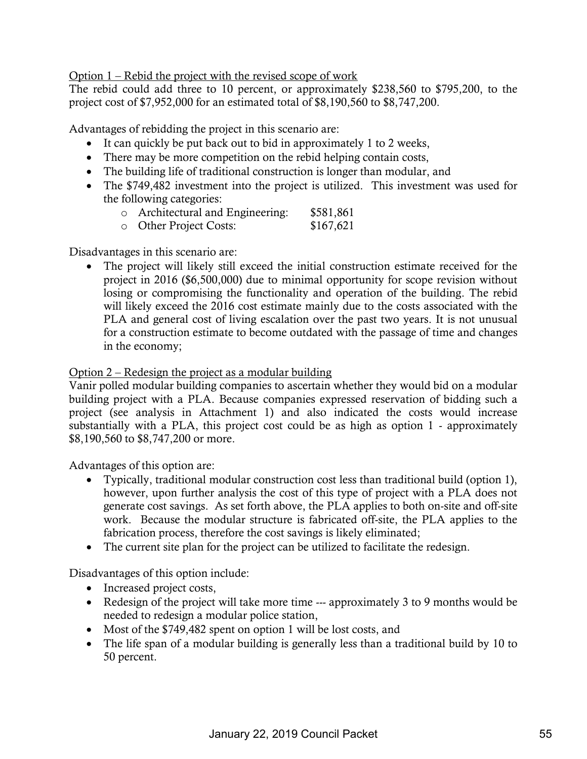Option 1 – Rebid the project with the revised scope of work

The rebid could add three to 10 percent, or approximately \$238,560 to \$795,200, to the project cost of \$7,952,000 for an estimated total of \$8,190,560 to \$8,747,200.

Advantages of rebidding the project in this scenario are:

- $\bullet$  It can quickly be put back out to bid in approximately 1 to 2 weeks,
- There may be more competition on the rebid helping contain costs,
- The building life of traditional construction is longer than modular, and
- The \$749,482 investment into the project is utilized. This investment was used for the following categories:
	- o Architectural and Engineering: \$581,861
	- o Other Project Costs: \$167,621

Disadvantages in this scenario are:

• The project will likely still exceed the initial construction estimate received for the project in 2016 (\$6,500,000) due to minimal opportunity for scope revision without losing or compromising the functionality and operation of the building. The rebid will likely exceed the 2016 cost estimate mainly due to the costs associated with the PLA and general cost of living escalation over the past two years. It is not unusual for a construction estimate to become outdated with the passage of time and changes in the economy;

### Option 2 – Redesign the project as a modular building

Vanir polled modular building companies to ascertain whether they would bid on a modular building project with a PLA. Because companies expressed reservation of bidding such a project (see analysis in Attachment 1) and also indicated the costs would increase substantially with a PLA, this project cost could be as high as option 1 - approximately \$8,190,560 to \$8,747,200 or more.

Advantages of this option are:

- Typically, traditional modular construction cost less than traditional build (option 1), however, upon further analysis the cost of this type of project with a PLA does not generate cost savings. As set forth above, the PLA applies to both on-site and off-site work. Because the modular structure is fabricated off-site, the PLA applies to the fabrication process, therefore the cost savings is likely eliminated;
- The current site plan for the project can be utilized to facilitate the redesign.

Disadvantages of this option include:

- Increased project costs,
- Redesign of the project will take more time  $-$ -- approximately 3 to 9 months would be needed to redesign a modular police station,
- Most of the  $$749,482$  spent on option 1 will be lost costs, and
- The life span of a modular building is generally less than a traditional build by 10 to 50 percent.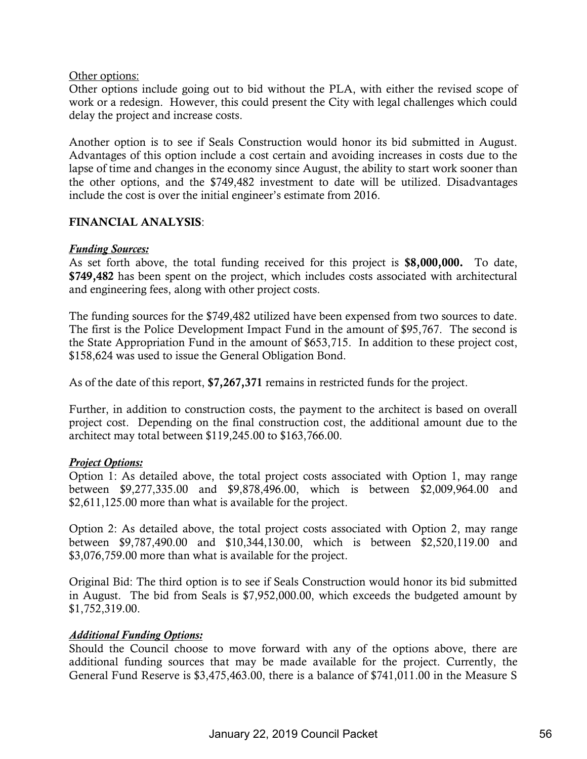Other options:

Other options include going out to bid without the PLA, with either the revised scope of work or a redesign. However, this could present the City with legal challenges which could delay the project and increase costs.

Another option is to see if Seals Construction would honor its bid submitted in August. Advantages of this option include a cost certain and avoiding increases in costs due to the lapse of time and changes in the economy since August, the ability to start work sooner than the other options, and the \$749,482 investment to date will be utilized. Disadvantages include the cost is over the initial engineer's estimate from 2016.

### FINANCIAL ANALYSIS:

### *Funding Sources:*

As set forth above, the total funding received for this project is \$8,000,000. To date, \$749,482 has been spent on the project, which includes costs associated with architectural and engineering fees, along with other project costs.

The funding sources for the \$749,482 utilized have been expensed from two sources to date. The first is the Police Development Impact Fund in the amount of \$95,767. The second is the State Appropriation Fund in the amount of \$653,715. In addition to these project cost, \$158,624 was used to issue the General Obligation Bond.

As of the date of this report, \$7,267,371 remains in restricted funds for the project.

Further, in addition to construction costs, the payment to the architect is based on overall project cost. Depending on the final construction cost, the additional amount due to the architect may total between \$119,245.00 to \$163,766.00.

### *Project Options:*

Option 1: As detailed above, the total project costs associated with Option 1, may range between \$9,277,335.00 and \$9,878,496.00, which is between \$2,009,964.00 and \$2,611,125.00 more than what is available for the project.

Option 2: As detailed above, the total project costs associated with Option 2, may range between \$9,787,490.00 and \$10,344,130.00, which is between \$2,520,119.00 and \$3,076,759.00 more than what is available for the project.

Original Bid: The third option is to see if Seals Construction would honor its bid submitted in August. The bid from Seals is \$7,952,000.00, which exceeds the budgeted amount by \$1,752,319.00.

### *Additional Funding Options:*

Should the Council choose to move forward with any of the options above, there are additional funding sources that may be made available for the project. Currently, the General Fund Reserve is \$3,475,463.00, there is a balance of \$741,011.00 in the Measure S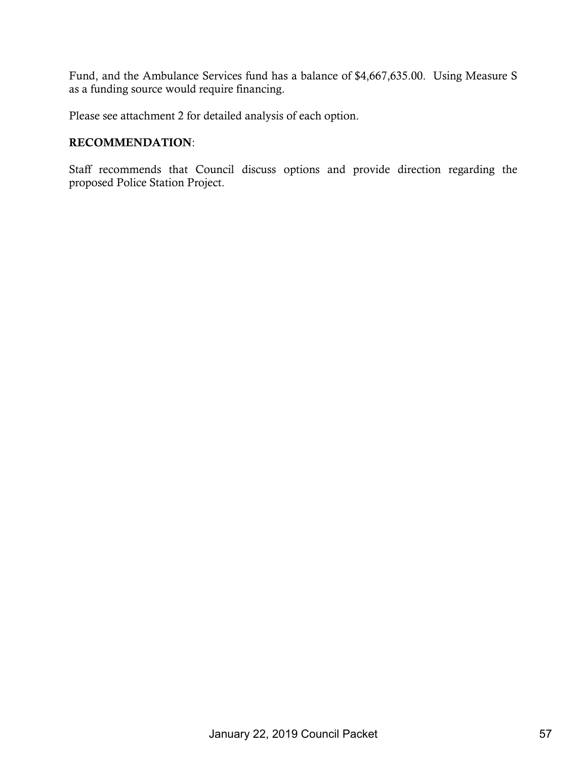Fund, and the Ambulance Services fund has a balance of \$4,667,635.00. Using Measure S as a funding source would require financing.

Please see attachment 2 for detailed analysis of each option.

### RECOMMENDATION:

Staff recommends that Council discuss options and provide direction regarding the proposed Police Station Project.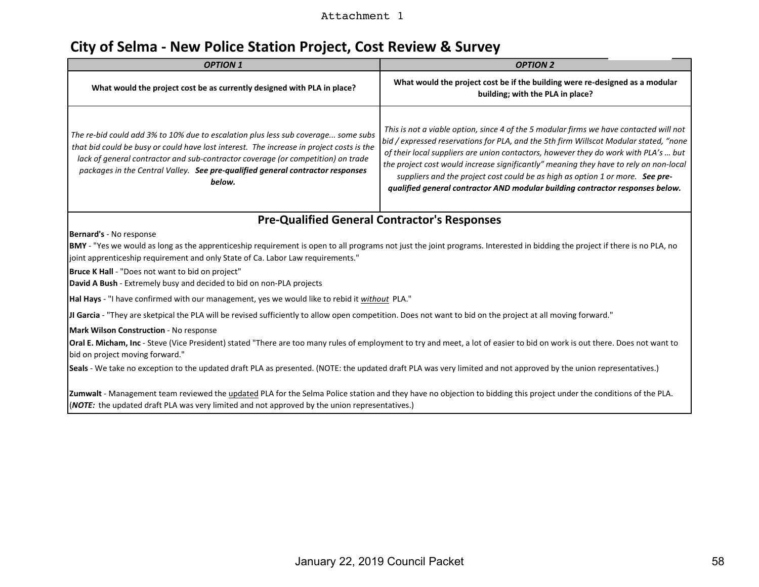### Attachment 1

# **City of Selma - New Police Station Project, Cost Review & Survey**

| <b>OPTION 1</b>                                                                                                                                                                                                                                                                                                                                                                                                              | <b>OPTION 2</b>                                                                                                                                                                                                                                                                                                                                                                                                                                                                                                                   |  |  |  |  |  |  |  |  |  |
|------------------------------------------------------------------------------------------------------------------------------------------------------------------------------------------------------------------------------------------------------------------------------------------------------------------------------------------------------------------------------------------------------------------------------|-----------------------------------------------------------------------------------------------------------------------------------------------------------------------------------------------------------------------------------------------------------------------------------------------------------------------------------------------------------------------------------------------------------------------------------------------------------------------------------------------------------------------------------|--|--|--|--|--|--|--|--|--|
| What would the project cost be as currently designed with PLA in place?                                                                                                                                                                                                                                                                                                                                                      | What would the project cost be if the building were re-designed as a modular<br>building; with the PLA in place?                                                                                                                                                                                                                                                                                                                                                                                                                  |  |  |  |  |  |  |  |  |  |
| The re-bid could add 3% to 10% due to escalation plus less sub coverage some subs<br>that bid could be busy or could have lost interest. The increase in project costs is the<br>lack of general contractor and sub-contractor coverage (or competition) on trade<br>packages in the Central Valley. See pre-qualified general contractor responses<br>below.                                                                | This is not a viable option, since 4 of the 5 modular firms we have contacted will not<br>bid / expressed reservations for PLA, and the 5th firm Willscot Modular stated, "none<br>of their local suppliers are union contactors, however they do work with PLA's  but<br>the project cost would increase significantly" meaning they have to rely on non-local<br>suppliers and the project cost could be as high as option 1 or more. See pre-<br>qualified general contractor AND modular building contractor responses below. |  |  |  |  |  |  |  |  |  |
|                                                                                                                                                                                                                                                                                                                                                                                                                              | <b>Pre-Qualified General Contractor's Responses</b>                                                                                                                                                                                                                                                                                                                                                                                                                                                                               |  |  |  |  |  |  |  |  |  |
| Bernard's - No response<br>BMY - "Yes we would as long as the apprenticeship requirement is open to all programs not just the joint programs. Interested in bidding the project if there is no PLA, no<br>joint apprenticeship requirement and only State of Ca. Labor Law requirements."<br>Bruce K Hall - "Does not want to bid on project"                                                                                |                                                                                                                                                                                                                                                                                                                                                                                                                                                                                                                                   |  |  |  |  |  |  |  |  |  |
| David A Bush - Extremely busy and decided to bid on non-PLA projects                                                                                                                                                                                                                                                                                                                                                         |                                                                                                                                                                                                                                                                                                                                                                                                                                                                                                                                   |  |  |  |  |  |  |  |  |  |
| Hal Hays - "I have confirmed with our management, yes we would like to rebid it <i>without</i> PLA."                                                                                                                                                                                                                                                                                                                         |                                                                                                                                                                                                                                                                                                                                                                                                                                                                                                                                   |  |  |  |  |  |  |  |  |  |
| JI Garcia - "They are sketpical the PLA will be revised sufficiently to allow open competition. Does not want to bid on the project at all moving forward."                                                                                                                                                                                                                                                                  |                                                                                                                                                                                                                                                                                                                                                                                                                                                                                                                                   |  |  |  |  |  |  |  |  |  |
| Mark Wilson Construction - No response<br>Oral E. Micham, Inc - Steve (Vice President) stated "There are too many rules of employment to try and meet, a lot of easier to bid on work is out there. Does not want to<br>bid on project moving forward."<br>Seals - We take no exception to the updated draft PLA as presented. (NOTE: the updated draft PLA was very limited and not approved by the union representatives.) |                                                                                                                                                                                                                                                                                                                                                                                                                                                                                                                                   |  |  |  |  |  |  |  |  |  |
| Zumwalt - Management team reviewed the updated PLA for the Selma Police station and they have no objection to bidding this project under the conditions of the PLA.<br>(NOTE: the updated draft PLA was very limited and not approved by the union representatives.)                                                                                                                                                         |                                                                                                                                                                                                                                                                                                                                                                                                                                                                                                                                   |  |  |  |  |  |  |  |  |  |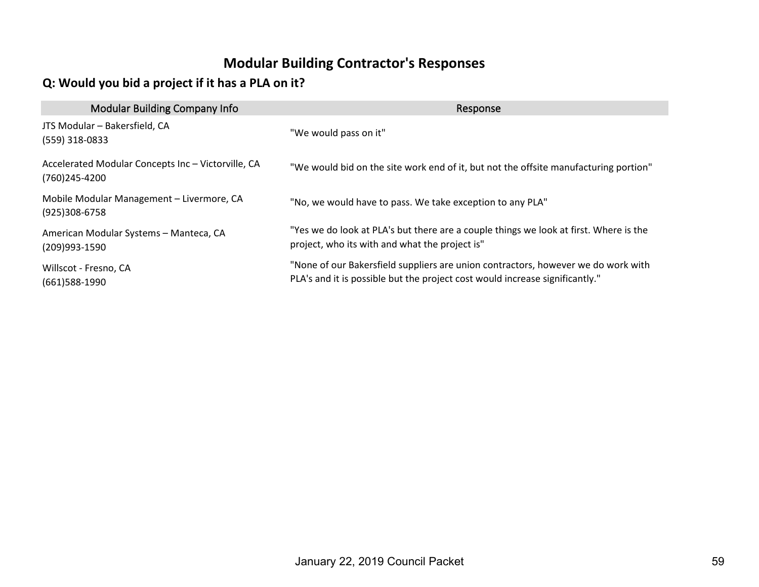## **Modular Building Contractor's Responses**

## **Q: Would you bid a project if it has a PLA on it?**

| <b>Modular Building Company Info</b>                                | Response                                                                                                                                                          |
|---------------------------------------------------------------------|-------------------------------------------------------------------------------------------------------------------------------------------------------------------|
| JTS Modular - Bakersfield, CA<br>$(559)$ 318-0833                   | "We would pass on it"                                                                                                                                             |
| Accelerated Modular Concepts Inc - Victorville, CA<br>(760)245-4200 | "We would bid on the site work end of it, but not the offsite manufacturing portion"                                                                              |
| Mobile Modular Management - Livermore, CA<br>(925)308-6758          | "No, we would have to pass. We take exception to any PLA"                                                                                                         |
| American Modular Systems - Manteca, CA<br>(209)993-1590             | "Yes we do look at PLA's but there are a couple things we look at first. Where is the<br>project, who its with and what the project is"                           |
| Willscot - Fresno, CA<br>(661)588-1990                              | "None of our Bakersfield suppliers are union contractors, however we do work with<br>PLA's and it is possible but the project cost would increase significantly." |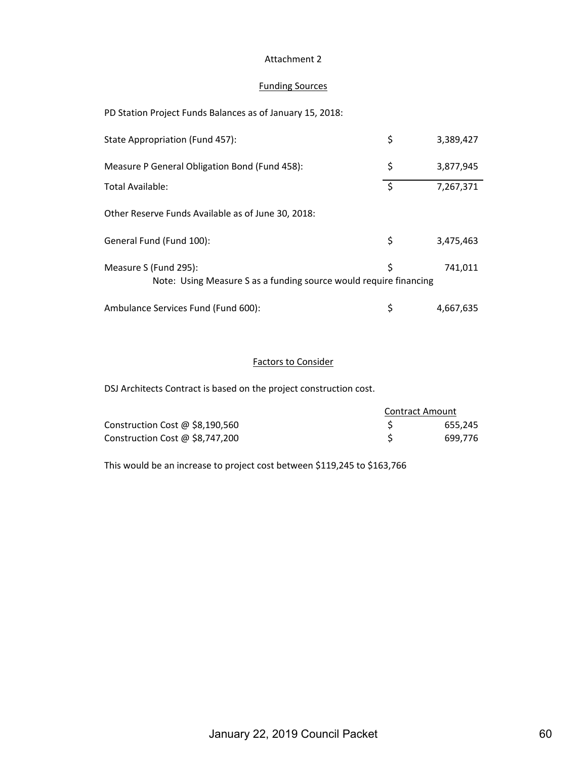#### Attachment 2

### Funding Sources

PD Station Project Funds Balances as of January 15, 2018:

| State Appropriation (Fund 457):                                                            | \$ | 3,389,427 |
|--------------------------------------------------------------------------------------------|----|-----------|
| Measure P General Obligation Bond (Fund 458):                                              | \$ | 3,877,945 |
| Total Available:                                                                           | \$ | 7,267,371 |
| Other Reserve Funds Available as of June 30, 2018:                                         |    |           |
| General Fund (Fund 100):                                                                   | \$ | 3,475,463 |
| Measure S (Fund 295):<br>Note: Using Measure S as a funding source would require financing | \$ | 741,011   |
| Ambulance Services Fund (Fund 600):                                                        | S  | 4,667,635 |

### Factors to Consider

DSJ Architects Contract is based on the project construction cost.

|                                   | <b>Contract Amount</b> |         |
|-----------------------------------|------------------------|---------|
| Construction Cost $@$ \$8,190,560 |                        | 655.245 |
| Construction Cost @ \$8,747,200   |                        | 699.776 |

This would be an increase to project cost between \$119,245 to \$163,766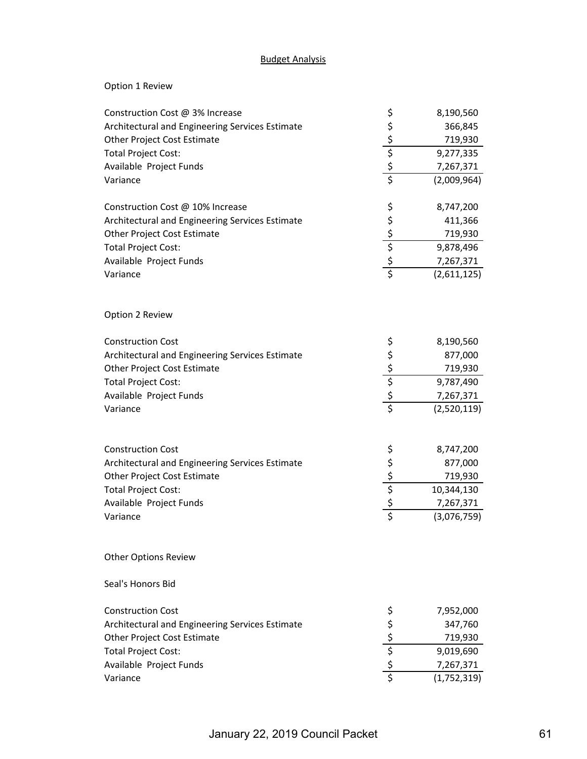### Budget Analysis

### Option 1 Review

| Construction Cost @ 3% Increase                 |                                                 | 8,190,560   |
|-------------------------------------------------|-------------------------------------------------|-------------|
| Architectural and Engineering Services Estimate |                                                 | 366,845     |
| Other Project Cost Estimate                     |                                                 | 719,930     |
| <b>Total Project Cost:</b>                      | ぐんこう こうし                                        | 9,277,335   |
| Available Project Funds                         |                                                 | 7,267,371   |
| Variance                                        |                                                 | (2,009,964) |
| Construction Cost @ 10% Increase                |                                                 | 8,747,200   |
| Architectural and Engineering Services Estimate |                                                 | 411,366     |
| Other Project Cost Estimate                     |                                                 | 719,930     |
| <b>Total Project Cost:</b>                      |                                                 | 9,878,496   |
| Available Project Funds                         | \$\$\$\$\$\$                                    | 7,267,371   |
| Variance                                        |                                                 | (2,611,125) |
| Option 2 Review                                 |                                                 |             |
| <b>Construction Cost</b>                        |                                                 | 8,190,560   |
| Architectural and Engineering Services Estimate | s<br>s<br>s<br>s<br>s<br>s<br>s                 | 877,000     |
| <b>Other Project Cost Estimate</b>              |                                                 | 719,930     |
| <b>Total Project Cost:</b>                      |                                                 | 9,787,490   |
| Available Project Funds                         |                                                 | 7,267,371   |
| Variance                                        |                                                 | (2,520,119) |
| <b>Construction Cost</b>                        |                                                 | 8,747,200   |
| Architectural and Engineering Services Estimate |                                                 | 877,000     |
| Other Project Cost Estimate                     |                                                 | 719,930     |
| <b>Total Project Cost:</b>                      |                                                 | 10,344,130  |
| Available Project Funds                         |                                                 | 7,267,371   |
| Variance                                        | ぐんこう こうし                                        | (3,076,759) |
| <b>Other Options Review</b>                     |                                                 |             |
| Seal's Honors Bid                               |                                                 |             |
| <b>Construction Cost</b>                        | \$                                              | 7,952,000   |
| Architectural and Engineering Services Estimate | $\frac{5}{5}$<br>$\frac{5}{5}$<br>$\frac{5}{5}$ | 347,760     |
| Other Project Cost Estimate                     |                                                 | 719,930     |
| <b>Total Project Cost:</b>                      |                                                 | 9,019,690   |
| Available Project Funds                         |                                                 | 7,267,371   |
| Variance                                        |                                                 | (1,752,319) |